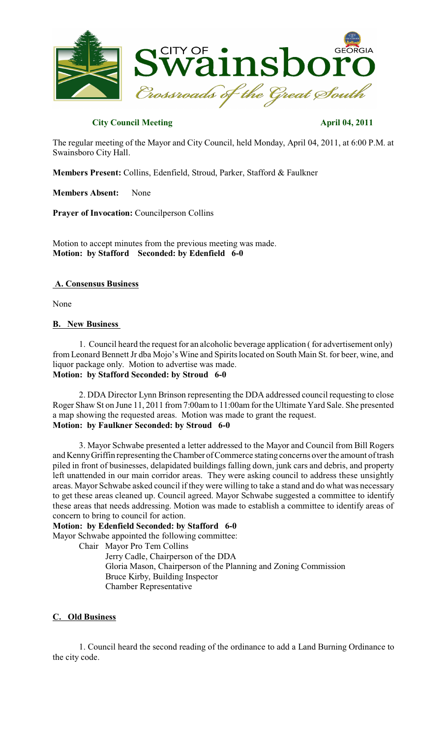

# **City Council Meeting April 04, 2011**

The regular meeting of the Mayor and City Council, held Monday, April 04, 2011, at 6:00 P.M. at Swainsboro City Hall.

**Members Present:** Collins, Edenfield, Stroud, Parker, Stafford & Faulkner

**Members Absent:** None

**Prayer of Invocation:** Councilperson Collins

Motion to accept minutes from the previous meeting was made. **Motion: by Stafford Seconded: by Edenfield 6-0**

## **A. Consensus Business**

None

### **B. New Business**

1. Council heard the request for an alcoholic beverage application ( for advertisement only) from Leonard Bennett Jr dba Mojo's Wine and Spiritslocated on South Main St. for beer, wine, and liquor package only. Motion to advertise was made. **Motion: by Stafford Seconded: by Stroud 6-0**

2. DDA Director Lynn Brinson representing the DDA addressed council requesting to close Roger Shaw St on June 11, 2011 from 7:00am to 11:00am for the Ultimate Yard Sale. She presented a map showing the requested areas. Motion was made to grant the request. **Motion: by Faulkner Seconded: by Stroud 6-0**

3. Mayor Schwabe presented a letter addressed to the Mayor and Council from Bill Rogers and KennyGriffin representing the Chamber of Commerce stating concerns over the amount of trash piled in front of businesses, delapidated buildings falling down, junk cars and debris, and property left unattended in our main corridor areas. They were asking council to address these unsightly areas. Mayor Schwabe asked council if they were willing to take a stand and do what was necessary to get these areas cleaned up. Council agreed. Mayor Schwabe suggested a committee to identify these areas that needs addressing. Motion was made to establish a committee to identify areas of concern to bring to council for action.

### **Motion: by Edenfield Seconded: by Stafford 6-0**

Mayor Schwabe appointed the following committee:

Chair Mayor Pro Tem Collins

Jerry Cadle, Chairperson of the DDA Gloria Mason, Chairperson of the Planning and Zoning Commission Bruce Kirby, Building Inspector Chamber Representative

# **C. Old Business**

1. Council heard the second reading of the ordinance to add a Land Burning Ordinance to the city code.